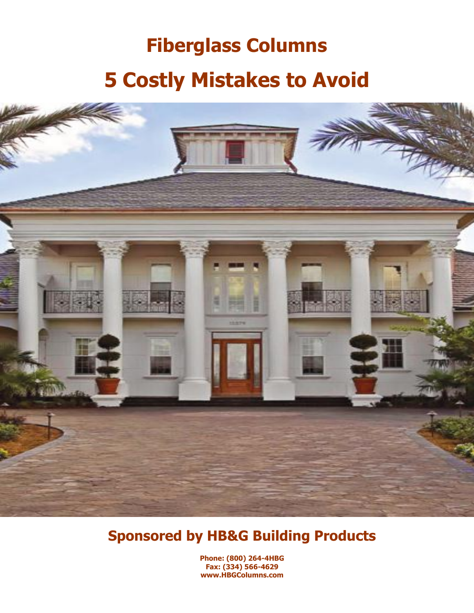# **Fiberglass Columns 5 Costly Mistakes to Avoid**



## **Sponsored by HB&G Building Products**

**Phone: (800) 264-4HBG Fax: (334) 566-4629 www.HBGColumns.com**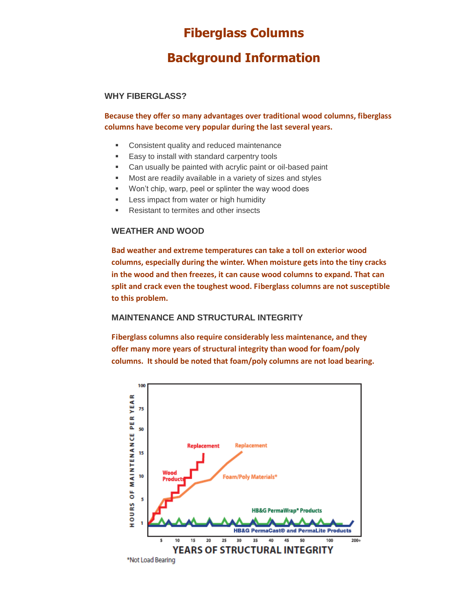## **Fiberglass Columns**

## **Background Information**

### **WHY FIBERGLASS?**

**Because they offer so many advantages over traditional wood columns, fiberglass columns have become very popular during the last several years.** 

- **EXECONSISTENT CONSISTENT CONSISTENT CONSISTENT CONSISTENT**
- **Easy to install with standard carpentry tools**
- Can usually be painted with acrylic paint or oil-based paint
- Most are readily available in a variety of sizes and styles
- Won't chip, warp, peel or splinter the way wood does
- **EXEC** Less impact from water or high humidity
- **Resistant to termites and other insects**

### **WEATHER AND WOOD**

**Bad weather and extreme temperatures can take a toll on exterior wood columns, especially during the winter. When moisture gets into the tiny cracks in the wood and then freezes, it can cause wood columns to expand. That can split and crack even the toughest wood. Fiberglass columns are not susceptible to this problem.**

### **MAINTENANCE AND STRUCTURAL INTEGRITY**

**Fiberglass columns also require considerably less maintenance, and they offer many more years of structural integrity than wood for foam/poly columns. It should be noted that foam/poly columns are not load bearing.** 

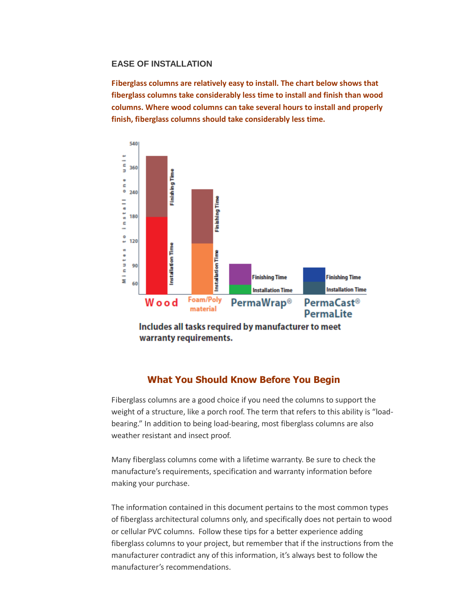### **EASE OF INSTALLATION**

**Fiberglass columns are relatively easy to install. The chart below shows that fiberglass columns take considerably less time to install and finish than wood columns. Where wood columns can take several hours to install and properly finish, fiberglass columns should take considerably less time.**



Includes all tasks required by manufacturer to meet warranty requirements.

### **What You Should Know Before You Begin**

Fiberglass columns are a good choice if you need the columns to support the weight of a structure, like a porch roof. The term that refers to this ability is "loadbearing." In addition to being load-bearing, most fiberglass columns are also weather resistant and insect proof.

Many fiberglass columns come with a lifetime warranty. Be sure to check the manufacture's requirements, specification and warranty information before making your purchase.

The information contained in this document pertains to the most common types of fiberglass architectural columns only, and specifically does not pertain to wood or cellular PVC columns. Follow these tips for a better experience adding fiberglass columns to your project, but remember that if the instructions from the manufacturer contradict any of this information, it's always best to follow the manufacturer's recommendations.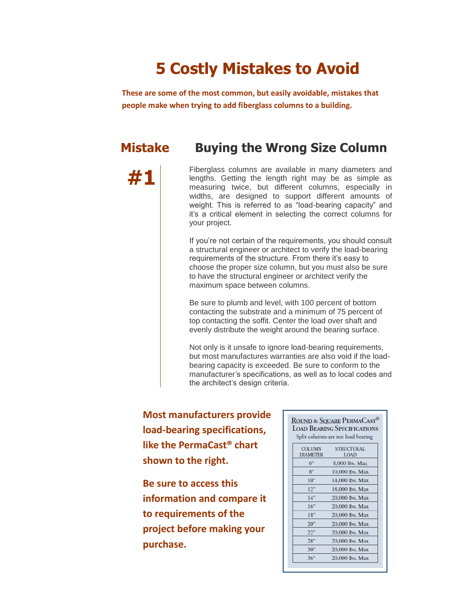## **5 Costly Mistakes to Avoid**

**These are some of the most common, but easily avoidable, mistakes that people make when trying to add fiberglass columns to a building.** 

## **Mistake Buying the Wrong Size Column**

**#1** Fiberglass columns are available in many diameters and<br>
lengths. Getting the length right may be as simple as<br>
measuring twice but different columns especially in measuring twice, but different columns, especially in widths, are designed to support different amounts of weight. This is referred to as "load-bearing capacity" and it's a critical element in selecting the correct columns for your project.

> If you're not certain of the requirements, you should consult a structural engineer or architect to verify the load-bearing requirements of the structure. From there it's easy to choose the proper size column, but you must also be sure to have the structural engineer or architect verify the maximum space between columns.

Be sure to plumb and level, with 100 percent of bottom contacting the substrate and a minimum of 75 percent of top contacting the soffit. Center the load over shaft and evenly distribute the weight around the bearing surface.

Not only is it unsafe to ignore load-bearing requirements, but most manufactures warranties are also void if the loadbearing capacity is exceeded. Be sure to conform to the manufacturer's specifications, as well as to local codes and the architect's design criteria.

**Most manufacturers provide load-bearing specifications, like the PermaCast® chart shown to the right.** 

**Be sure to access this information and compare it to requirements of the project before making your purchase.**

#### ROUND & SQUARE PERMACAST<sup>®</sup> **LOAD BEARING SPECIFICATIONS** Split columns are not load bearing COLUMN **STRUCTURAL**

| DIAMETER | LOAD            |
|----------|-----------------|
| 6"       | 8,000 lbs. Max  |
| 8"       | 10,000 lbs. Max |
| 10"      | 14,000 lbs. Max |
| 12"      | 18,000 lbs. Max |
| 14"      | 20,000 lbs. Max |
| 16"      | 20,000 lbs. Max |
| 18"      | 20,000 lbs. Max |
| 20"      | 20,000 lbs. Max |
| 22"      | 20,000 lbs. Max |
| 28"      | 20,000 lbs. Max |
| 30"      | 20,000 lbs. Max |
| 36"      | 20,000 lbs. Max |
|          |                 |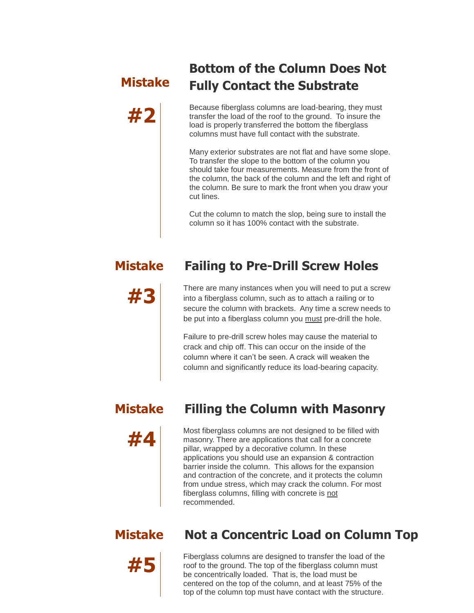## **Mistake**

## **Bottom of the Column Does Not Fully Contact the Substrate**

**#2** Because fiberglass columns are load-bearing, they must transfer the load of the roof to the ground. To insure the load is properly transferred the bottom the fiberglass columns must have full contact with the substrate.

Many exterior substrates are not flat and have some slope. To transfer the slope to the bottom of the column you should take four measurements. Measure from the front of the column, the back of the column and the left and right of the column. Be sure to mark the front when you draw your cut lines.

Cut the column to match the slop, being sure to install the column so it has 100% contact with the substrate.

## **Mistake Failing to Pre-Drill Screw Holes**

## **#3** There are many instances when you will need to put a screw into a fiberglass column, such as to attach a railing or to

secure the column with brackets. Any time a screw needs to be put into a fiberglass column you must pre-drill the hole.

Failure to pre-drill screw holes may cause the material to crack and chip off. This can occur on the inside of the column where it can't be seen. A crack will weaken the column and significantly reduce its load-bearing capacity.



## **Mistake Filling the Column with Masonry**

Most fiberglass columns are not designed to be filled with<br>masonry. There are applications that call for a concrete<br>pillar wrapped by a decorative column. In these pillar, wrapped by a decorative column. In these applications you should use an expansion & contraction barrier inside the column. This allows for the expansion and contraction of the concrete, and it protects the column from undue stress, which may crack the column. For most fiberglass columns, filling with concrete is not recommended.

## **Mistake Not a Concentric Load on Column Top**

Fiberglass columns are designed to transfer the load of the roof to the ground. The top of the fiberglass column must<br>be concentrically loaded. That is, the load must be be concentrically loaded. That is, the load must be centered on the top of the column, and at least 75% of the top of the column top must have contact with the structure.